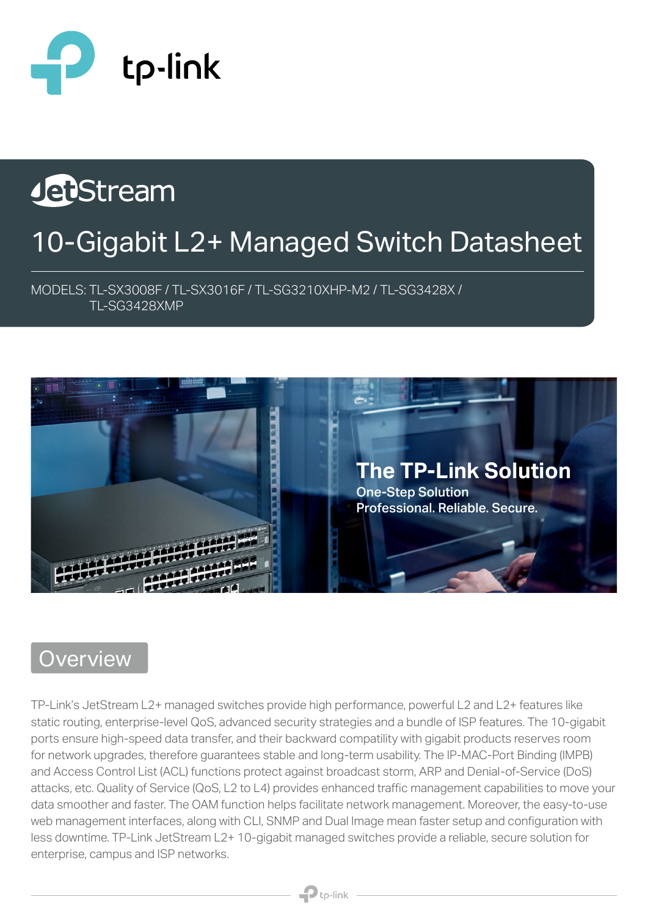

# JebStream 10-Gigabit L2+ Managed Switch Datasheet

MODELS: TL-SX3008F / TL-SX3016F / TL-SG3210XHP-M2 / TL-SG3428X / TL-SG3428XMP



## **Overview**

TP-Link's JetStream L2+ managed switches provide high performance, powerful L2 and L2+ features like static routing, enterprise-level QoS, advanced security strategies and a bundle of ISP features. The 10-gigabit ports ensure high-speed data transfer, and their backward compatility with gigabit products reserves room for network upgrades, therefore guarantees stable and long-term usability. The IP-MAC-Port Binding (IMPB) and Access Control List (ACL) functions protect against broadcast storm, ARP and Denial-of-Service (DoS) attacks, etc. Quality of Service (QoS, L2 to L4) provides enhanced traffic management capabilities to move your data smoother and faster. The OAM function helps facilitate network management. Moreover, the easy-to-use web management interfaces, along with CLI, SNMP and Dual Image mean faster setup and configuration with less downtime. TP-Link JetStream L2+ 10-gigabit managed switches provide a reliable, secure solution for enterprise, campus and ISP networks.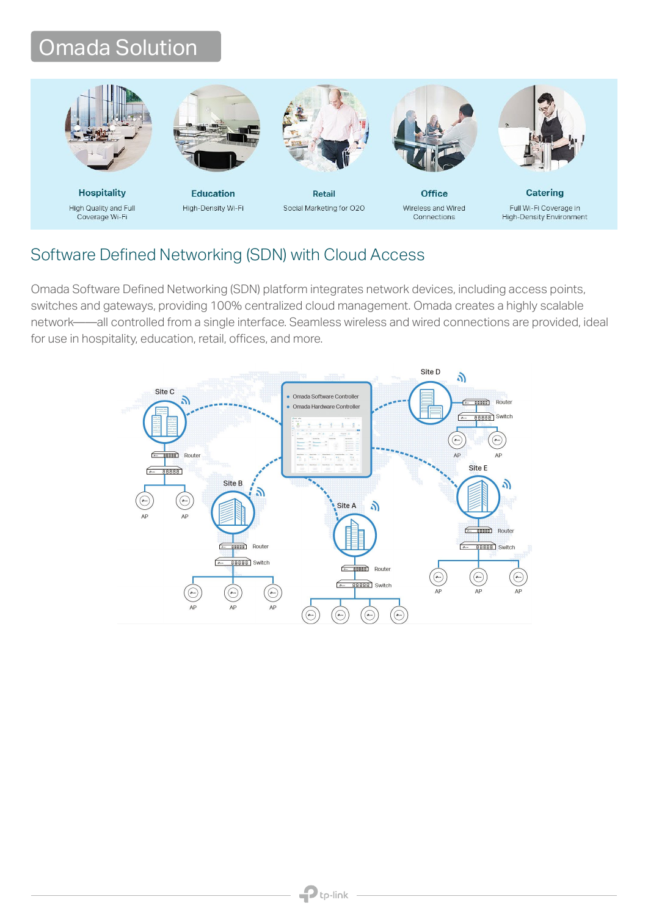## Omada Solution



**Hospitality** High Quality and Full Coverage Wi-Fi



**Education** High-Density Wi-Fi



Retail Social Marketing for O2O



Connections

**Office** Wireless and Wired



**Catering** Full Wi-Fi Coverage in High-Density Environment

#### Software Defined Networking (SDN) with Cloud Access

Omada Software Defined Networking (SDN) platform integrates network devices, including access points, switches and gateways, providing 100% centralized cloud management. Omada creates a highly scalable network——all controlled from a single interface. Seamless wireless and wired connections are provided, ideal for use in hospitality, education, retail, offices, and more.

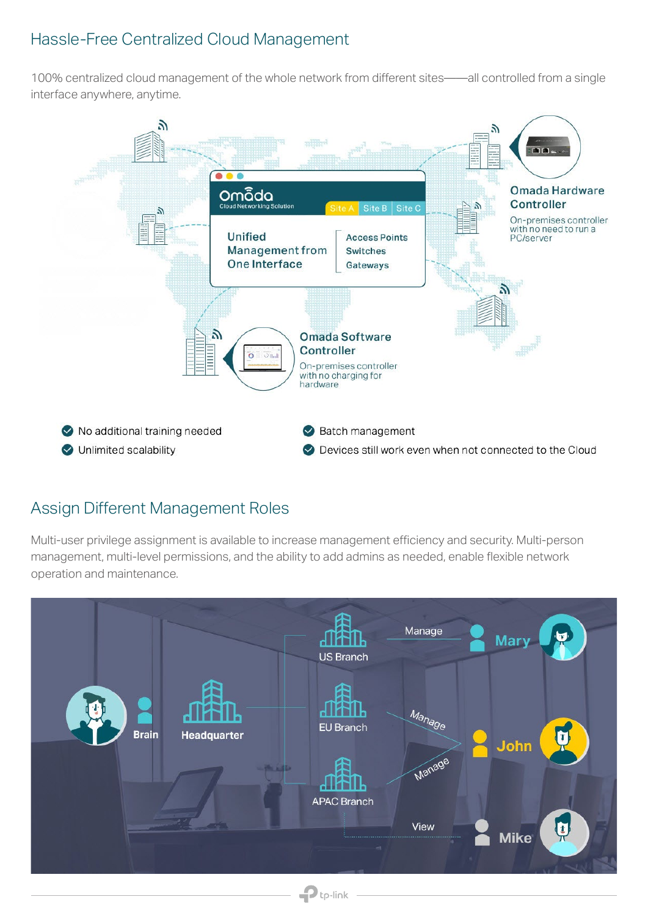#### Hassle-Free Centralized Cloud Management

100% centralized cloud management of the whole network from different sites——all controlled from a single interface anywhere, anytime.



#### Assign Different Management Roles

Multi-user privilege assignment is available to increase management efficiency and security. Multi-person management, multi-level permissions, and the ability to add admins as needed, enable flexible network operation and maintenance.

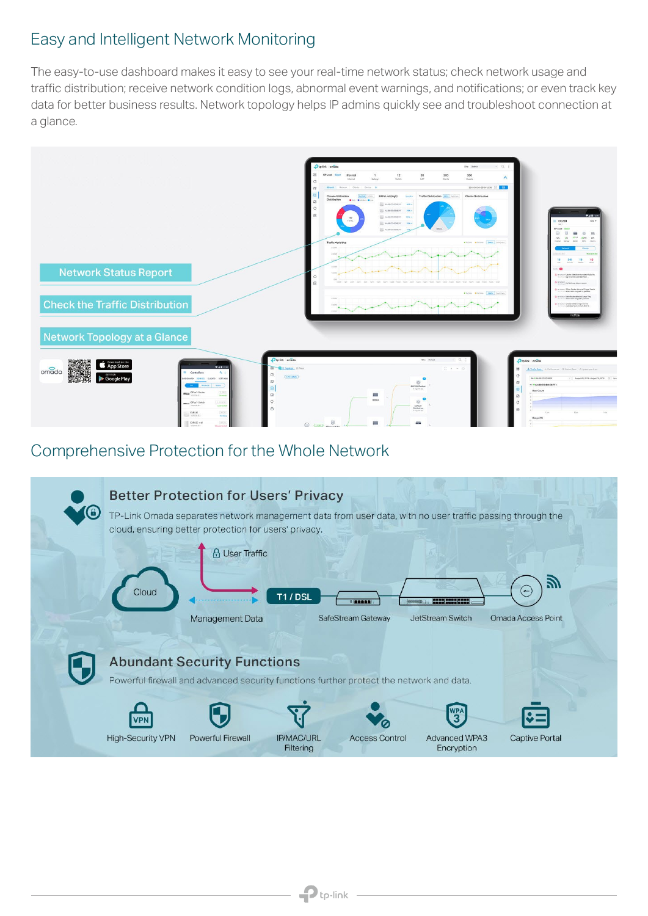#### Easy and Intelligent Network Monitoring

The easy-to-use dashboard makes it easy to see your real-time network status; check network usage and traffic distribution; receive network condition logs, abnormal event warnings, and notifications; or even track key data for better business results. Network topology helps IP admins quickly see and troubleshoot connection at a glance.



#### Comprehensive Protection for the Whole Network

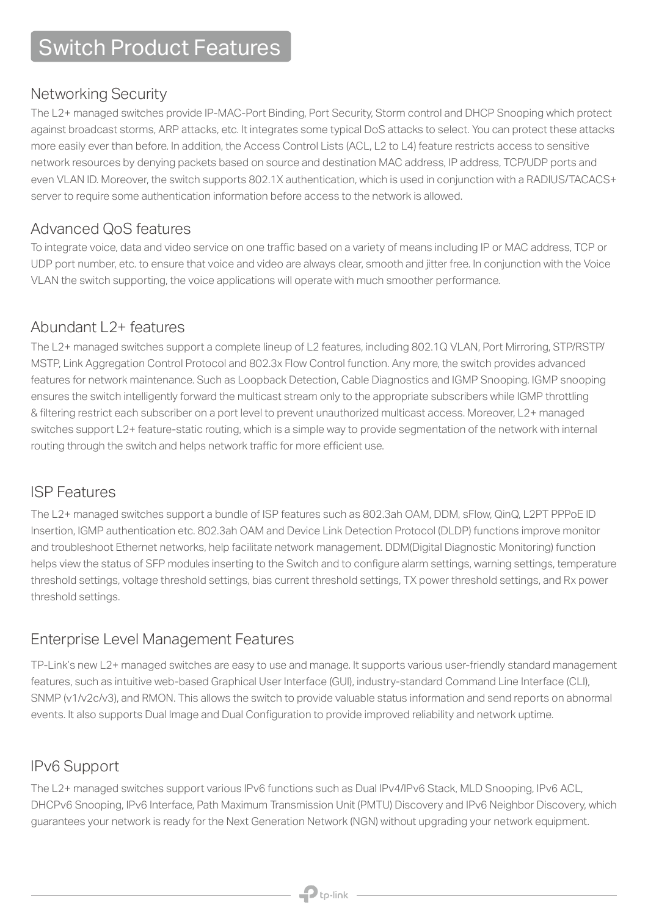### Switch Product Features

#### Networking Security

The L2+ managed switches provide IP-MAC-Port Binding, Port Security, Storm control and DHCP Snooping which protect against broadcast storms, ARP attacks, etc. It integrates some typical DoS attacks to select. You can protect these attacks more easily ever than before. In addition, the Access Control Lists (ACL, L2 to L4) feature restricts access to sensitive network resources by denying packets based on source and destination MAC address, IP address, TCP/UDP ports and even VLAN ID. Moreover, the switch supports 802.1X authentication, which is used in conjunction with a RADIUS/TACACS+ server to require some authentication information before access to the network is allowed.

#### Advanced QoS features

To integrate voice, data and video service on one traffic based on a variety of means including IP or MAC address, TCP or UDP port number, etc. to ensure that voice and video are always clear, smooth and jitter free. In conjunction with the Voice VLAN the switch supporting, the voice applications will operate with much smoother performance.

#### Abundant L<sub>2</sub>+ features

The L2+ managed switches support a complete lineup of L2 features, including 802.1Q VLAN, Port Mirroring, STP/RSTP/ MSTP, Link Aggregation Control Protocol and 802.3x Flow Control function. Any more, the switch provides advanced features for network maintenance. Such as Loopback Detection, Cable Diagnostics and IGMP Snooping. IGMP snooping ensures the switch intelligently forward the multicast stream only to the appropriate subscribers while IGMP throttling & filtering restrict each subscriber on a port level to prevent unauthorized multicast access. Moreover, L2+ managed switches support L2+ feature-static routing, which is a simple way to provide segmentation of the network with internal routing through the switch and helps network traffic for more efficient use.

#### ISP Features

The L2+ managed switches support a bundle of ISP features such as 802.3ah OAM, DDM, sFlow, QinQ, L2PT PPPoE ID Insertion, IGMP authentication etc. 802.3ah OAM and Device Link Detection Protocol (DLDP) functions improve monitor and troubleshoot Ethernet networks, help facilitate network management. DDM(Digital Diagnostic Monitoring) function helps view the status of SFP modules inserting to the Switch and to configure alarm settings, warning settings, temperature threshold settings, voltage threshold settings, bias current threshold settings, TX power threshold settings, and Rx power threshold settings.

#### Enterprise Level Management Features

TP-Link's new L2+ managed switches are easy to use and manage. It supports various user-friendly standard management features, such as intuitive web-based Graphical User Interface (GUI), industry-standard Command Line Interface (CLI), SNMP (v1/v2c/v3), and RMON. This allows the switch to provide valuable status information and send reports on abnormal events. It also supports Dual Image and Dual Configuration to provide improved reliability and network uptime.

#### IPv6 Support

The L2+ managed switches support various IPv6 functions such as Dual IPv4/IPv6 Stack, MLD Snooping, IPv6 ACL, DHCPv6 Snooping, IPv6 Interface, Path Maximum Transmission Unit (PMTU) Discovery and IPv6 Neighbor Discovery, which guarantees your network is ready for the Next Generation Network (NGN) without upgrading your network equipment.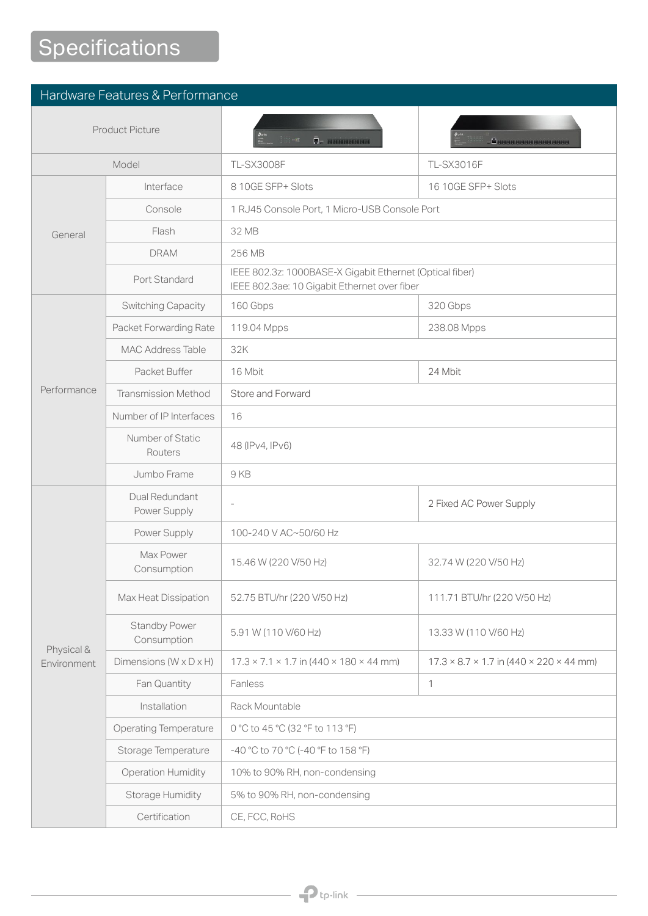## **Specifications**

| Hardware Features & Performance |                                      |                                                                                                          |                                                                   |
|---------------------------------|--------------------------------------|----------------------------------------------------------------------------------------------------------|-------------------------------------------------------------------|
| <b>Product Picture</b>          |                                      | $\overline{\bm{v}}$ . Because $\bm{v}$                                                                   | <b>A PARTIESE PERSONAL PROPERTY PROPERTY</b>                      |
| Model                           |                                      | <b>TL-SX3008F</b>                                                                                        | <b>TL-SX3016F</b>                                                 |
|                                 | Interface                            | 8 10GE SFP+ Slots                                                                                        | 16 10GE SFP+ Slots                                                |
|                                 | Console                              | 1 RJ45 Console Port, 1 Micro-USB Console Port                                                            |                                                                   |
| General                         | Flash                                | 32 MB                                                                                                    |                                                                   |
|                                 | <b>DRAM</b>                          | 256 MB                                                                                                   |                                                                   |
|                                 | Port Standard                        | IEEE 802.3z: 1000BASE-X Gigabit Ethernet (Optical fiber)<br>IEEE 802.3ae: 10 Gigabit Ethernet over fiber |                                                                   |
|                                 | <b>Switching Capacity</b>            | 160 Gbps                                                                                                 | 320 Gbps                                                          |
|                                 | Packet Forwarding Rate               | 119.04 Mpps                                                                                              | 238.08 Mpps                                                       |
|                                 | <b>MAC Address Table</b>             | 32K                                                                                                      |                                                                   |
|                                 | Packet Buffer                        | 16 Mbit                                                                                                  | 24 Mbit                                                           |
| Performance                     | <b>Transmission Method</b>           | Store and Forward                                                                                        |                                                                   |
|                                 | Number of IP Interfaces              | 16                                                                                                       |                                                                   |
|                                 | Number of Static<br>Routers          | 48 (IPv4, IPv6)                                                                                          |                                                                   |
|                                 | Jumbo Frame                          | 9KB                                                                                                      |                                                                   |
|                                 | Dual Redundant<br>Power Supply       |                                                                                                          | 2 Fixed AC Power Supply                                           |
|                                 | Power Supply                         | 100-240 V AC~50/60 Hz                                                                                    |                                                                   |
|                                 | Max Power<br>Consumption             | 15.46 W (220 V/50 Hz)                                                                                    | 32.74 W (220 V/50 Hz)                                             |
|                                 | Max Heat Dissipation                 | 52.75 BTU/hr (220 V/50 Hz)                                                                               | 111.71 BTU/hr (220 V/50 Hz)                                       |
| Physical &<br>Environment       | <b>Standby Power</b><br>Consumption  | 5.91 W (110 V/60 Hz)                                                                                     | 13.33 W (110 V/60 Hz)                                             |
|                                 | Dimensions ( $W \times D \times H$ ) | $17.3 \times 7.1 \times 1.7$ in (440 $\times$ 180 $\times$ 44 mm)                                        | $17.3 \times 8.7 \times 1.7$ in (440 $\times$ 220 $\times$ 44 mm) |
|                                 | Fan Quantity                         | Fanless                                                                                                  | $\mathbf{1}$                                                      |
|                                 | Installation                         | Rack Mountable                                                                                           |                                                                   |
|                                 | <b>Operating Temperature</b>         | 0 °C to 45 °C (32 °F to 113 °F)                                                                          |                                                                   |
|                                 | Storage Temperature                  | -40 °C to 70 °C (-40 °F to 158 °F)                                                                       |                                                                   |
|                                 | <b>Operation Humidity</b>            | 10% to 90% RH, non-condensing                                                                            |                                                                   |
|                                 | <b>Storage Humidity</b>              | 5% to 90% RH, non-condensing                                                                             |                                                                   |
|                                 | Certification                        | CE, FCC, RoHS                                                                                            |                                                                   |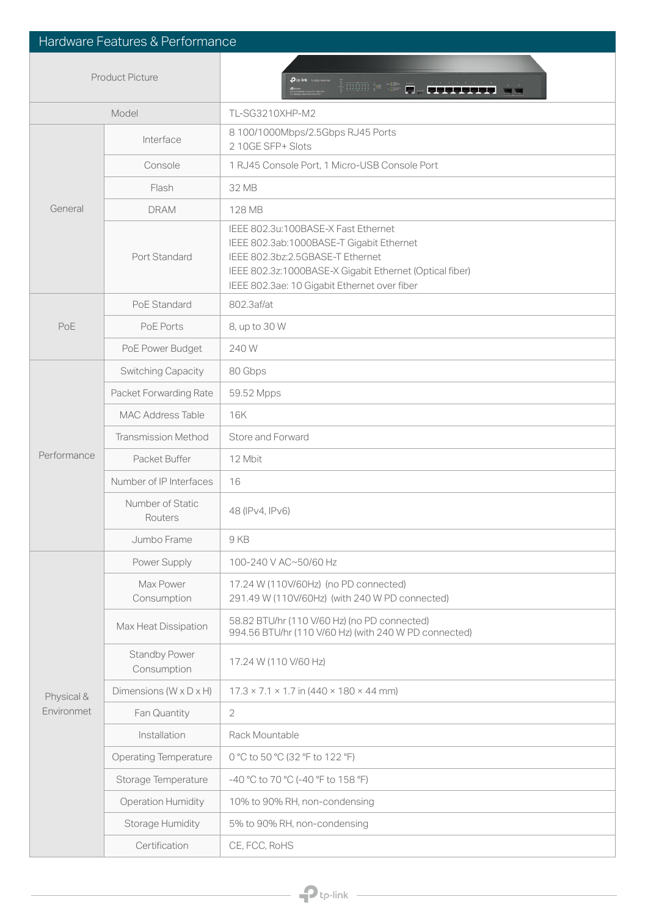| Hardware Features & Performance |                                      |                                                                                                                                                                                                                                |  |
|---------------------------------|--------------------------------------|--------------------------------------------------------------------------------------------------------------------------------------------------------------------------------------------------------------------------------|--|
| <b>Product Picture</b>          |                                      | <u>4 möm</u> ⊫ t⊫<br>$\overline{0}$ . First trees was                                                                                                                                                                          |  |
| Model                           |                                      | TL-SG3210XHP-M2                                                                                                                                                                                                                |  |
|                                 | Interface                            | 8 100/1000Mbps/2.5Gbps RJ45 Ports<br>2 10GE SFP+ Slots                                                                                                                                                                         |  |
|                                 | Console                              | 1 RJ45 Console Port, 1 Micro-USB Console Port                                                                                                                                                                                  |  |
|                                 | Flash                                | 32 MB                                                                                                                                                                                                                          |  |
| General                         | <b>DRAM</b>                          | 128 MB                                                                                                                                                                                                                         |  |
|                                 | Port Standard                        | IEEE 802.3u:100BASE-X Fast Ethernet<br>IEEE 802.3ab:1000BASE-T Gigabit Ethernet<br>IEEE 802.3bz:2.5GBASE-T Ethernet<br>IEEE 802.3z:1000BASE-X Gigabit Ethernet (Optical fiber)<br>IEEE 802.3ae: 10 Gigabit Ethernet over fiber |  |
|                                 | PoE Standard                         | 802.3af/at                                                                                                                                                                                                                     |  |
| PoE                             | PoE Ports                            | 8, up to 30 W                                                                                                                                                                                                                  |  |
|                                 | PoE Power Budget                     | 240W                                                                                                                                                                                                                           |  |
|                                 | Switching Capacity                   | 80 Gbps                                                                                                                                                                                                                        |  |
|                                 | Packet Forwarding Rate               | 59.52 Mpps                                                                                                                                                                                                                     |  |
|                                 | <b>MAC Address Table</b>             | <b>16K</b>                                                                                                                                                                                                                     |  |
|                                 | <b>Transmission Method</b>           | Store and Forward                                                                                                                                                                                                              |  |
| Performance                     | Packet Buffer                        | 12 Mbit                                                                                                                                                                                                                        |  |
|                                 | Number of IP Interfaces              | 16                                                                                                                                                                                                                             |  |
|                                 | Number of Static<br>Routers          | 48 (IPv4, IPv6)                                                                                                                                                                                                                |  |
|                                 | Jumbo Frame                          | 9 KB                                                                                                                                                                                                                           |  |
|                                 | Power Supply                         | 100-240 V AC~50/60 Hz                                                                                                                                                                                                          |  |
|                                 | Max Power<br>Consumption             | 17.24 W (110V/60Hz) (no PD connected)<br>291.49 W (110V/60Hz) (with 240 W PD connected)                                                                                                                                        |  |
|                                 | Max Heat Dissipation                 | 58.82 BTU/hr (110 V/60 Hz) (no PD connected)<br>994.56 BTU/hr (110 V/60 Hz) (with 240 W PD connected)                                                                                                                          |  |
|                                 | <b>Standby Power</b><br>Consumption  | 17.24 W (110 V/60 Hz)                                                                                                                                                                                                          |  |
| Physical &                      | Dimensions ( $W \times D \times H$ ) | $17.3 \times 7.1 \times 1.7$ in (440 $\times$ 180 $\times$ 44 mm)                                                                                                                                                              |  |
| Environmet                      | Fan Quantity                         | $\overline{2}$                                                                                                                                                                                                                 |  |
|                                 | Installation                         | Rack Mountable                                                                                                                                                                                                                 |  |
|                                 | <b>Operating Temperature</b>         | 0 °C to 50 °C (32 °F to 122 °F)                                                                                                                                                                                                |  |
|                                 | Storage Temperature                  | -40 °C to 70 °C (-40 °F to 158 °F)                                                                                                                                                                                             |  |
|                                 | <b>Operation Humidity</b>            | 10% to 90% RH, non-condensing                                                                                                                                                                                                  |  |
|                                 | Storage Humidity                     | 5% to 90% RH, non-condensing                                                                                                                                                                                                   |  |
|                                 | Certification                        | CE, FCC, RoHS                                                                                                                                                                                                                  |  |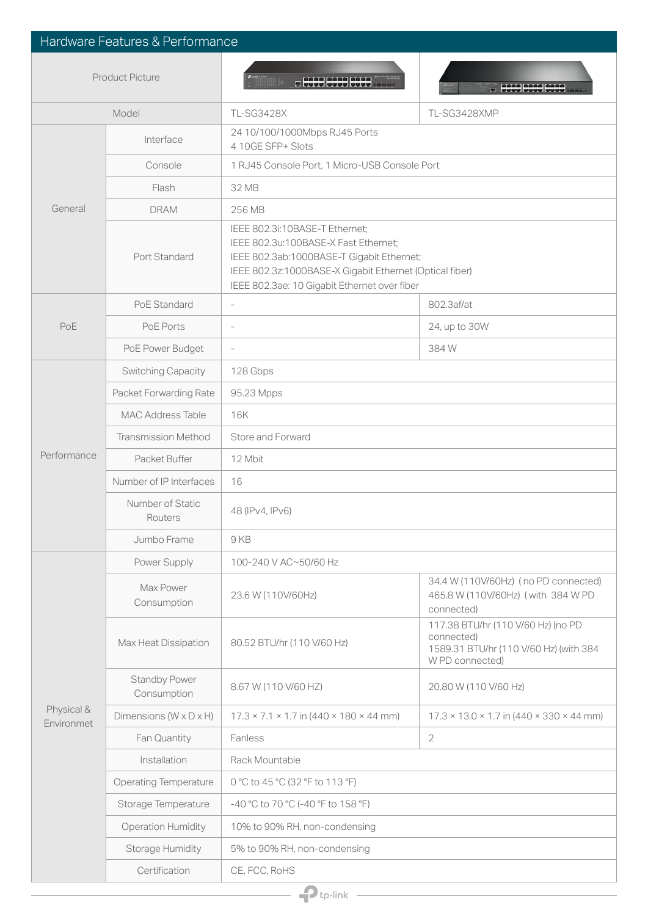| Hardware Features & Performance |                                      |                                                                                                                                                                                                                                |                                                                                                               |  |
|---------------------------------|--------------------------------------|--------------------------------------------------------------------------------------------------------------------------------------------------------------------------------------------------------------------------------|---------------------------------------------------------------------------------------------------------------|--|
| <b>Product Picture</b>          |                                      | <b>RECOGNITION</b>                                                                                                                                                                                                             | <b>COOR COOR COOP</b>                                                                                         |  |
| Model                           |                                      | <b>TL-SG3428X</b>                                                                                                                                                                                                              | TL-SG3428XMP                                                                                                  |  |
|                                 | Interface                            | 24 10/100/1000Mbps RJ45 Ports<br>4 10GE SFP+ Slots                                                                                                                                                                             |                                                                                                               |  |
|                                 | Console                              | 1 RJ45 Console Port, 1 Micro-USB Console Port                                                                                                                                                                                  |                                                                                                               |  |
|                                 | Flash                                | 32 MB                                                                                                                                                                                                                          |                                                                                                               |  |
| General                         | <b>DRAM</b>                          | 256 MB                                                                                                                                                                                                                         |                                                                                                               |  |
|                                 | Port Standard                        | IEEE 802.3i:10BASE-T Ethernet;<br>IEEE 802.3u:100BASE-X Fast Ethernet;<br>IEEE 802.3ab:1000BASE-T Gigabit Ethernet;<br>IEEE 802.3z:1000BASE-X Gigabit Ethernet (Optical fiber)<br>IEEE 802.3ae: 10 Gigabit Ethernet over fiber |                                                                                                               |  |
|                                 | PoE Standard                         | $\overline{\phantom{a}}$                                                                                                                                                                                                       | 802.3af/at                                                                                                    |  |
| PoE                             | PoE Ports                            | ÷,                                                                                                                                                                                                                             | 24, up to 30W                                                                                                 |  |
|                                 | PoE Power Budget                     | $\bar{a}$                                                                                                                                                                                                                      | 384W                                                                                                          |  |
|                                 | <b>Switching Capacity</b>            | 128 Gbps                                                                                                                                                                                                                       |                                                                                                               |  |
|                                 | Packet Forwarding Rate               | 95.23 Mpps                                                                                                                                                                                                                     |                                                                                                               |  |
|                                 | <b>MAC Address Table</b>             | 16K                                                                                                                                                                                                                            |                                                                                                               |  |
|                                 | <b>Transmission Method</b>           | Store and Forward                                                                                                                                                                                                              |                                                                                                               |  |
| Performance                     | Packet Buffer                        | 12 Mbit                                                                                                                                                                                                                        |                                                                                                               |  |
|                                 | Number of IP Interfaces              | 16                                                                                                                                                                                                                             |                                                                                                               |  |
|                                 | Number of Static<br>Routers          | 48 (IPv4, IPv6)                                                                                                                                                                                                                |                                                                                                               |  |
|                                 | Jumbo Frame                          | 9 KB                                                                                                                                                                                                                           |                                                                                                               |  |
|                                 | Power Supply                         | 100-240 V AC~50/60 Hz                                                                                                                                                                                                          |                                                                                                               |  |
|                                 | Max Power<br>Consumption             | 23.6 W (110V/60Hz)                                                                                                                                                                                                             | 34.4 W (110V/60Hz) (no PD connected)<br>465.8 W (110V/60Hz) (with 384 W PD<br>connected)                      |  |
|                                 | Max Heat Dissipation                 | 80.52 BTU/hr (110 V/60 Hz)                                                                                                                                                                                                     | 117.38 BTU/hr (110 V/60 Hz) (no PD<br>connected)<br>1589.31 BTU/hr (110 V/60 Hz) (with 384<br>W PD connected) |  |
|                                 | <b>Standby Power</b><br>Consumption  | 8.67 W (110 V/60 HZ)                                                                                                                                                                                                           | 20.80 W (110 V/60 Hz)                                                                                         |  |
| Physical &<br>Environmet        | Dimensions ( $W \times D \times H$ ) | $17.3 \times 7.1 \times 1.7$ in (440 $\times$ 180 $\times$ 44 mm)                                                                                                                                                              | $17.3 \times 13.0 \times 1.7$ in (440 $\times$ 330 $\times$ 44 mm)                                            |  |
|                                 | Fan Quantity                         | Fanless                                                                                                                                                                                                                        | 2                                                                                                             |  |
|                                 | Installation                         | Rack Mountable                                                                                                                                                                                                                 |                                                                                                               |  |
|                                 | <b>Operating Temperature</b>         | 0 °C to 45 °C (32 °F to 113 °F)                                                                                                                                                                                                |                                                                                                               |  |
|                                 | Storage Temperature                  | -40 °C to 70 °C (-40 °F to 158 °F)                                                                                                                                                                                             |                                                                                                               |  |
|                                 | Operation Humidity                   | 10% to 90% RH, non-condensing                                                                                                                                                                                                  |                                                                                                               |  |
|                                 | Storage Humidity                     | 5% to 90% RH, non-condensing                                                                                                                                                                                                   |                                                                                                               |  |
|                                 | Certification                        | CE, FCC, RoHS                                                                                                                                                                                                                  |                                                                                                               |  |
| $\mathbf P$ tp-link             |                                      |                                                                                                                                                                                                                                |                                                                                                               |  |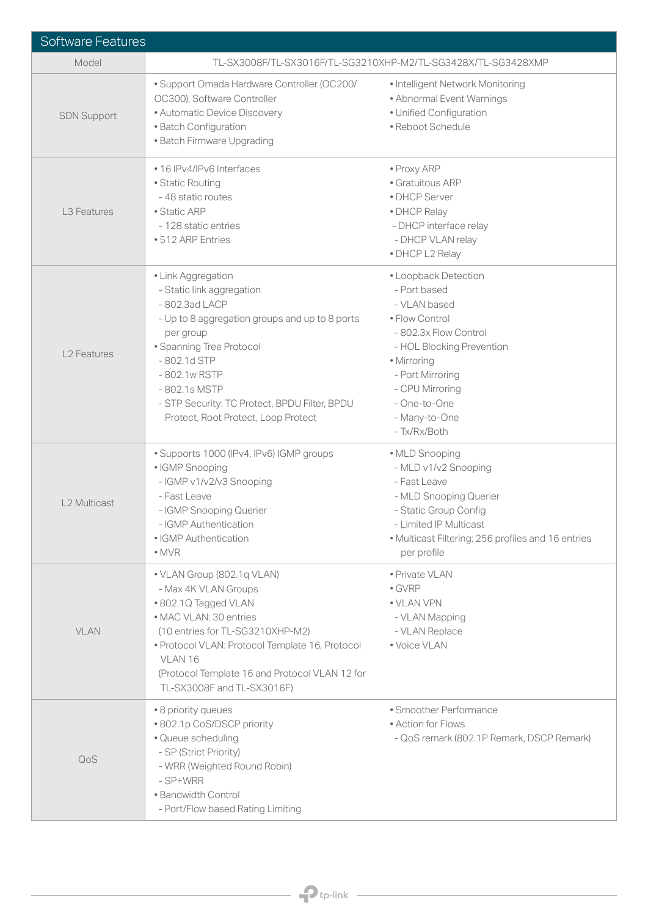| <b>Software Features</b> |                                                                                                                                                                                                                                                                                                       |                                                                                                                                                                                                                                     |  |
|--------------------------|-------------------------------------------------------------------------------------------------------------------------------------------------------------------------------------------------------------------------------------------------------------------------------------------------------|-------------------------------------------------------------------------------------------------------------------------------------------------------------------------------------------------------------------------------------|--|
| Model                    | TL-SX3008F/TL-SX3016F/TL-SG3210XHP-M2/TL-SG3428X/TL-SG3428XMP                                                                                                                                                                                                                                         |                                                                                                                                                                                                                                     |  |
| <b>SDN Support</b>       | · Support Omada Hardware Controller (OC200/<br>OC300), Software Controller<br>• Automatic Device Discovery<br>· Batch Configuration<br>• Batch Firmware Upgrading                                                                                                                                     | • Intelligent Network Monitoring<br>• Abnormal Event Warnings<br>· Unified Configuration<br>• Reboot Schedule                                                                                                                       |  |
| L <sub>3</sub> Features  | • 16 IPv4/IPv6 Interfaces<br>· Static Routing<br>-48 static routes<br>• Static ARP<br>- 128 static entries<br>• 512 ARP Entries                                                                                                                                                                       | · Proxy ARP<br>· Gratuitous ARP<br>• DHCP Server<br>• DHCP Relay<br>- DHCP interface relay<br>- DHCP VLAN relay<br>· DHCP L2 Relay                                                                                                  |  |
| <b>L2 Features</b>       | • Link Aggregation<br>- Static link aggregation<br>- 802.3ad LACP<br>- Up to 8 aggregation groups and up to 8 ports<br>per group<br>· Spanning Tree Protocol<br>$-802.1d$ STP<br>-802.1w RSTP<br>-802.1s MSTP<br>- STP Security: TC Protect, BPDU Filter, BPDU<br>Protect, Root Protect, Loop Protect | • Loopback Detection<br>- Port based<br>- VLAN based<br>• Flow Control<br>- 802.3x Flow Control<br>- HOL Blocking Prevention<br>• Mirroring<br>- Port Mirroring<br>- CPU Mirroring<br>- One-to-One<br>- Many-to-One<br>- Tx/Rx/Both |  |
| L2 Multicast             | · Supports 1000 (IPv4, IPv6) IGMP groups<br>· IGMP Snooping<br>- IGMP v1/v2/v3 Snooping<br>- Fast Leave<br>- IGMP Snooping Querier<br>- IGMP Authentication<br>• IGMP Authentication<br>$\bullet$ MVR                                                                                                 | · MLD Snooping<br>- MLD v1/v2 Snooping<br>- Fast Leave<br>- MLD Snooping Querier<br>- Static Group Config<br>- Limited IP Multicast<br>• Multicast Filtering: 256 profiles and 16 entries<br>per profile                            |  |
| <b>VLAN</b>              | • VLAN Group (802.1q VLAN)<br>- Max 4K VLAN Groups<br>• 802.1Q Tagged VLAN<br>• MAC VLAN: 30 entries<br>(10 entries for TL-SG3210XHP-M2)<br>· Protocol VLAN: Protocol Template 16, Protocol<br>VLAN <sub>16</sub><br>(Protocol Template 16 and Protocol VLAN 12 for<br>TL-SX3008F and TL-SX3016F)     | · Private VLAN<br>$\bullet$ GVRP<br>• VLAN VPN<br>- VLAN Mapping<br>- VLAN Replace<br>• Voice VLAN                                                                                                                                  |  |
| QoS                      | • 8 priority queues<br>• 802.1p CoS/DSCP priority<br>· Queue scheduling<br>- SP (Strict Priority)<br>- WRR (Weighted Round Robin)<br>- SP+WRR<br>• Bandwidth Control<br>- Port/Flow based Rating Limiting                                                                                             | • Smoother Performance<br>• Action for Flows<br>- QoS remark (802.1P Remark, DSCP Remark)                                                                                                                                           |  |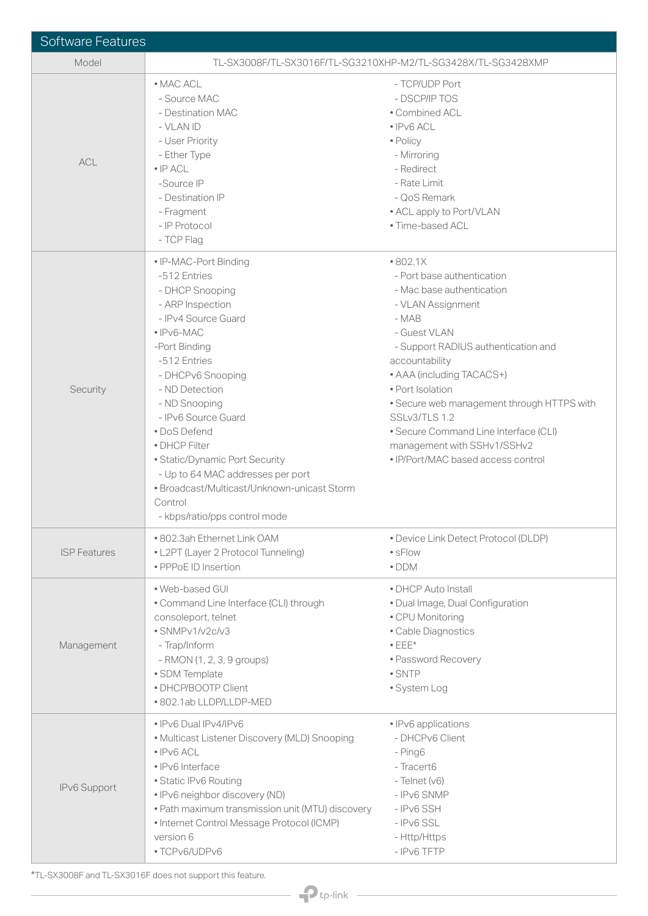| <b>Software Features</b> |                                                                                                                                                                                                                                                                                                                                                                                                                                              |                                                                                                                                                                                                                                                                                                                                                                                                          |
|--------------------------|----------------------------------------------------------------------------------------------------------------------------------------------------------------------------------------------------------------------------------------------------------------------------------------------------------------------------------------------------------------------------------------------------------------------------------------------|----------------------------------------------------------------------------------------------------------------------------------------------------------------------------------------------------------------------------------------------------------------------------------------------------------------------------------------------------------------------------------------------------------|
| Model                    | TL-SX3008F/TL-SX3016F/TL-SG3210XHP-M2/TL-SG3428X/TL-SG3428XMP                                                                                                                                                                                                                                                                                                                                                                                |                                                                                                                                                                                                                                                                                                                                                                                                          |
| <b>ACL</b>               | • MAC ACL<br>- Source MAC<br>- Destination MAC<br>- VLAN ID<br>- User Priority<br>- Ether Type<br>$\bullet$ IP ACL<br>-Source IP<br>- Destination IP<br>- Fragment<br>- IP Protocol<br>- TCP Flag                                                                                                                                                                                                                                            | - TCP/UDP Port<br>- DSCP/IP TOS<br>· Combined ACL<br>$\cdot$ IPv6 ACL<br>• Policy<br>- Mirroring<br>- Redirect<br>- Rate Limit<br>- QoS Remark<br>• ACL apply to Port/VLAN<br>· Time-based ACL                                                                                                                                                                                                           |
| Security                 | · IP-MAC-Port Binding<br>-512 Entries<br>- DHCP Snooping<br>- ARP Inspection<br>- IPv4 Source Guard<br>$\bullet$ IPv6-MAC<br>-Port Binding<br>-512 Entries<br>- DHCPv6 Snooping<br>- ND Detection<br>- ND Snooping<br>- IPv6 Source Guard<br>• DoS Defend<br>• DHCP Filter<br>· Static/Dynamic Port Security<br>- Up to 64 MAC addresses per port<br>· Broadcast/Multicast/Unknown-unicast Storm<br>Control<br>- kbps/ratio/pps control mode | •802.1X<br>- Port base authentication<br>- Mac base authentication<br>- VLAN Assignment<br>$-MAB$<br>- Guest VLAN<br>- Support RADIUS authentication and<br>accountability<br>• AAA (including TACACS+)<br>· Port Isolation<br>• Secure web management through HTTPS with<br>SSLv3/TLS 1.2<br>• Secure Command Line Interface (CLI)<br>management with SSHv1/SSHv2<br>• IP/Port/MAC based access control |
| <b>ISP Features</b>      | • 802.3ah Ethernet Link OAM<br>• L2PT (Layer 2 Protocol Tunneling)<br>· PPPoE ID Insertion                                                                                                                                                                                                                                                                                                                                                   | • Device Link Detect Protocol (DLDP)<br>• sFlow<br>$\bullet$ DDM                                                                                                                                                                                                                                                                                                                                         |
| Management               | · Web-based GUI<br>• Command Line Interface (CLI) through<br>consoleport, telnet<br>· SNMPv1/v2c/v3<br>- Trap/Inform<br>- RMON (1, 2, 3, 9 groups)<br>· SDM Template<br>• DHCP/BOOTP Client<br>• 802.1ab LLDP/LLDP-MED                                                                                                                                                                                                                       | • DHCP Auto Install<br>· Dual Image, Dual Configuration<br>• CPU Monitoring<br>· Cable Diagnostics<br>$\bullet$ EEE*<br>• Password Recovery<br>$\bullet$ SNTP<br>• System Log                                                                                                                                                                                                                            |
| IPv6 Support             | • IPv6 Dual IPv4/IPv6<br>• Multicast Listener Discovery (MLD) Snooping<br>$\cdot$ IPv6 ACL<br>· IPv6 Interface<br>· Static IPv6 Routing<br>· IPv6 neighbor discovery (ND)<br>. Path maximum transmission unit (MTU) discovery<br>• Internet Control Message Protocol (ICMP)<br>version 6<br>· TCPv6/UDPv6                                                                                                                                    | • IPv6 applications<br>- DHCPv6 Client<br>- Ping6<br>- Tracert6<br>$-$ Telnet ( $v6$ )<br>- IPv6 SNMP<br>- IPv6 SSH<br>$-IPv6$ SSL<br>- Http/Https<br>- IPv6 TFTP                                                                                                                                                                                                                                        |

\*TL-SX3008F and TL-SX3016F does not support this feature.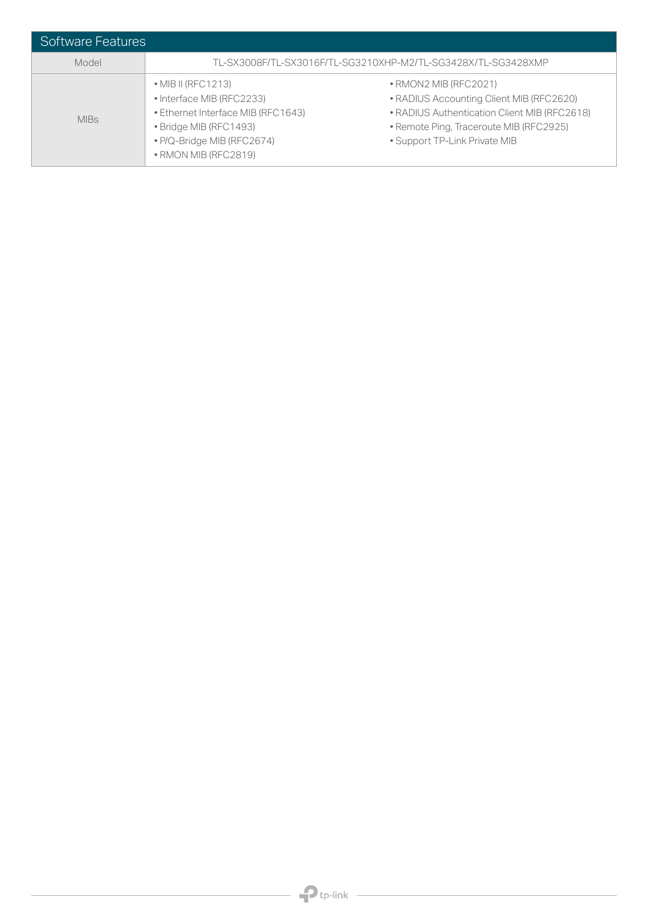| <b>Software Features</b> |                                                                                                                                                                               |                                                                                                                                                                                                       |
|--------------------------|-------------------------------------------------------------------------------------------------------------------------------------------------------------------------------|-------------------------------------------------------------------------------------------------------------------------------------------------------------------------------------------------------|
| Model                    | TL-SX3008F/TL-SX3016F/TL-SG3210XHP-M2/TL-SG3428X/TL-SG3428XMP                                                                                                                 |                                                                                                                                                                                                       |
| <b>MIBs</b>              | $\bullet$ MIB II (RFC1213)<br>• Interface MIB (RFC2233)<br>· Ethernet Interface MIB (RFC1643)<br>• Bridge MIB (RFC1493)<br>• P/Q-Bridge MIB (RFC2674)<br>• RMON MIB (RFC2819) | $\bullet$ RMON2 MIB (RFC2021)<br>• RADIUS Accounting Client MIB (RFC2620)<br>• RADIUS Authentication Client MIB (RFC2618)<br>· Remote Ping, Traceroute MIB (RFC2925)<br>• Support TP-Link Private MIB |